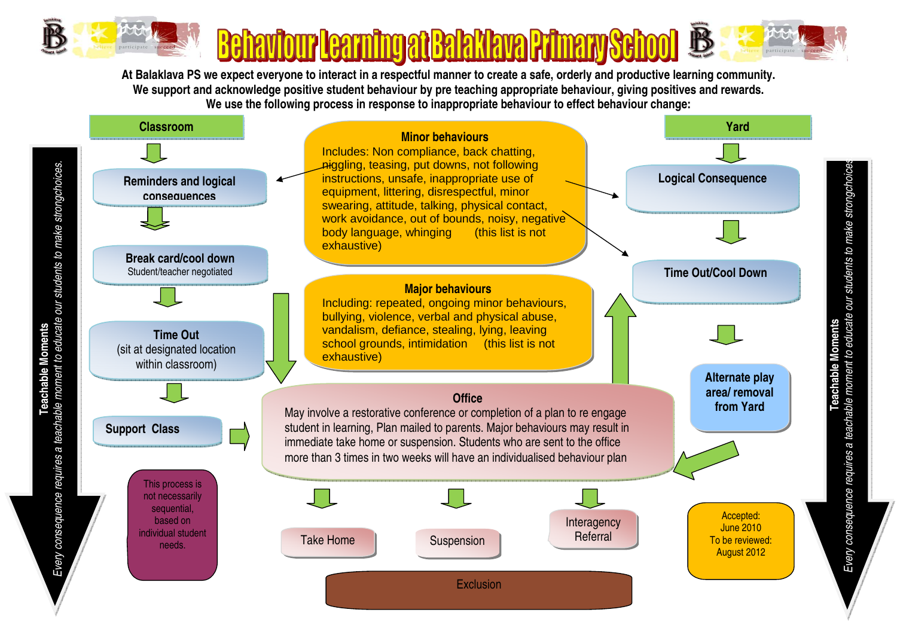

**Teachable Moments**

**At Balaklava PS we expect everyone to interact in a respectful manner to create a safe, orderly and productive learning community. We support and acknowledge positive student behaviour by pre teaching appropriate behaviour, giving positives and rewards. We use the following process in response to inappropriate behaviour to effect behaviour change:**